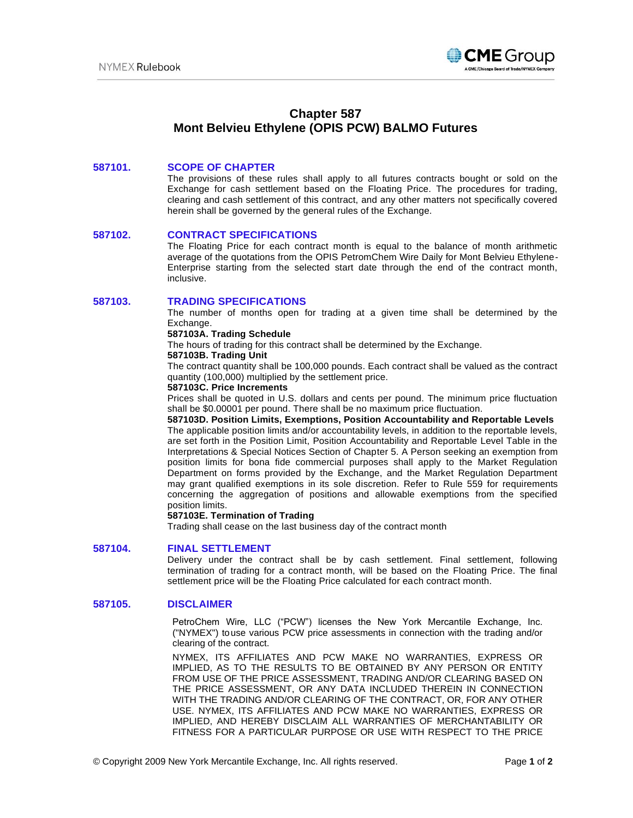

# **Chapter 587 Mont Belvieu Ethylene (OPIS PCW) BALMO Futures**

## **587101. SCOPE OF CHAPTER**

The provisions of these rules shall apply to all futures contracts bought or sold on the Exchange for cash settlement based on the Floating Price. The procedures for trading, clearing and cash settlement of this contract, and any other matters not specifically covered herein shall be governed by the general rules of the Exchange.

#### **587102. CONTRACT SPECIFICATIONS**

The Floating Price for each contract month is equal to the balance of month arithmetic average of the quotations from the OPIS PetromChem Wire Daily for Mont Belvieu Ethylene-Enterprise starting from the selected start date through the end of the contract month, inclusive.

## **587103. TRADING SPECIFICATIONS**

The number of months open for trading at a given time shall be determined by the Exchange.

#### **587103A. Trading Schedule**

The hours of trading for this contract shall be determined by the Exchange.

#### **587103B. Trading Unit**

The contract quantity shall be 100,000 pounds. Each contract shall be valued as the contract quantity (100,000) multiplied by the settlement price.

## **587103C. Price Increments**

Prices shall be quoted in U.S. dollars and cents per pound. The minimum price fluctuation shall be \$0.00001 per pound. There shall be no maximum price fluctuation.

**587103D. Position Limits, Exemptions, Position Accountability and Reportable Levels** The applicable position limits and/or accountability levels, in addition to the reportable levels, are set forth in the Position Limit, Position Accountability and Reportable Level Table in the Interpretations & Special Notices Section of Chapter 5. A Person seeking an exemption from position limits for bona fide commercial purposes shall apply to the Market Regulation Department on forms provided by the Exchange, and the Market Regulation Department may grant qualified exemptions in its sole discretion. Refer to Rule 559 for requirements concerning the aggregation of positions and allowable exemptions from the specified position limits.

#### **587103E. Termination of Trading**

Trading shall cease on the last business day of the contract month

## **587104. FINAL SETTLEMENT**

Delivery under the contract shall be by cash settlement. Final settlement, following termination of trading for a contract month, will be based on the Floating Price. The final settlement price will be the Floating Price calculated for each contract month.

## **587105. DISCLAIMER**

PetroChem Wire, LLC ("PCW") licenses the New York Mercantile Exchange, Inc. ("NYMEX") touse various PCW price assessments in connection with the trading and/or clearing of the contract.

NYMEX, ITS AFFILIATES AND PCW MAKE NO WARRANTIES, EXPRESS OR IMPLIED, AS TO THE RESULTS TO BE OBTAINED BY ANY PERSON OR ENTITY FROM USE OF THE PRICE ASSESSMENT, TRADING AND/OR CLEARING BASED ON THE PRICE ASSESSMENT, OR ANY DATA INCLUDED THEREIN IN CONNECTION WITH THE TRADING AND/OR CLEARING OF THE CONTRACT, OR, FOR ANY OTHER USE. NYMEX, ITS AFFILIATES AND PCW MAKE NO WARRANTIES, EXPRESS OR IMPLIED, AND HEREBY DISCLAIM ALL WARRANTIES OF MERCHANTABILITY OR FITNESS FOR A PARTICULAR PURPOSE OR USE WITH RESPECT TO THE PRICE